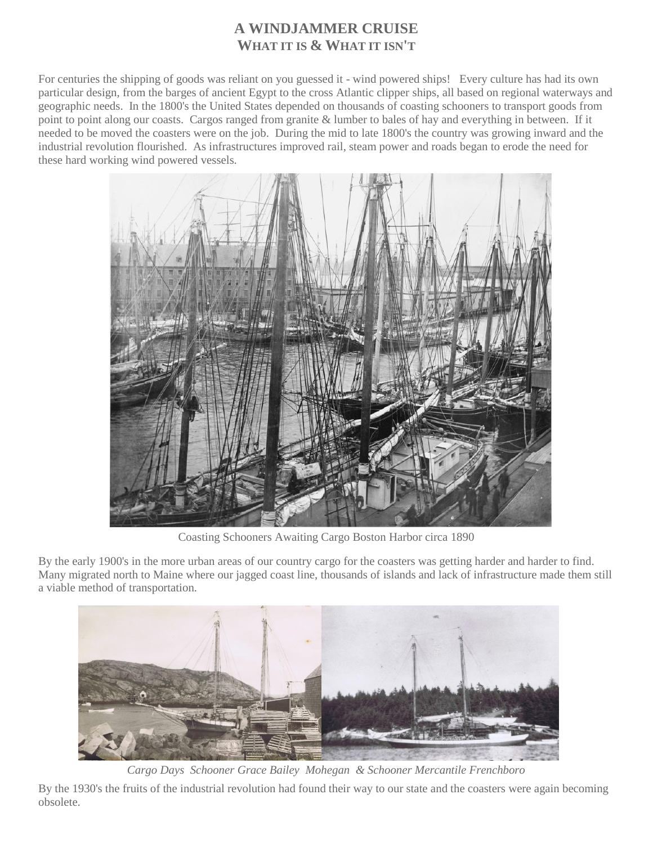# **A WINDJAMMER CRUISE WHAT IT IS & WHAT IT ISN'T**

For centuries the shipping of goods was reliant on you guessed it - wind powered ships! Every culture has had its own particular design, from the barges of ancient Egypt to the cross Atlantic clipper ships, all based on regional waterways and geographic needs. In the 1800's the United States depended on thousands of coasting schooners to transport goods from point to point along our coasts. Cargos ranged from granite & lumber to bales of hay and everything in between. If it needed to be moved the coasters were on the job. During the mid to late 1800's the country was growing inward and the industrial revolution flourished. As infrastructures improved rail, steam power and roads began to erode the need for these hard working wind powered vessels.



Coasting Schooners Awaiting Cargo Boston Harbor circa 1890

By the early 1900's in the more urban areas of our country cargo for the coasters was getting harder and harder to find. Many migrated north to Maine where our jagged coast line, thousands of islands and lack of infrastructure made them still a viable method of transportation.



*Cargo Days Schooner Grace Bailey Mohegan & Schooner Mercantile Frenchboro*

By the 1930's the fruits of the industrial revolution had found their way to our state and the coasters were again becoming obsolete.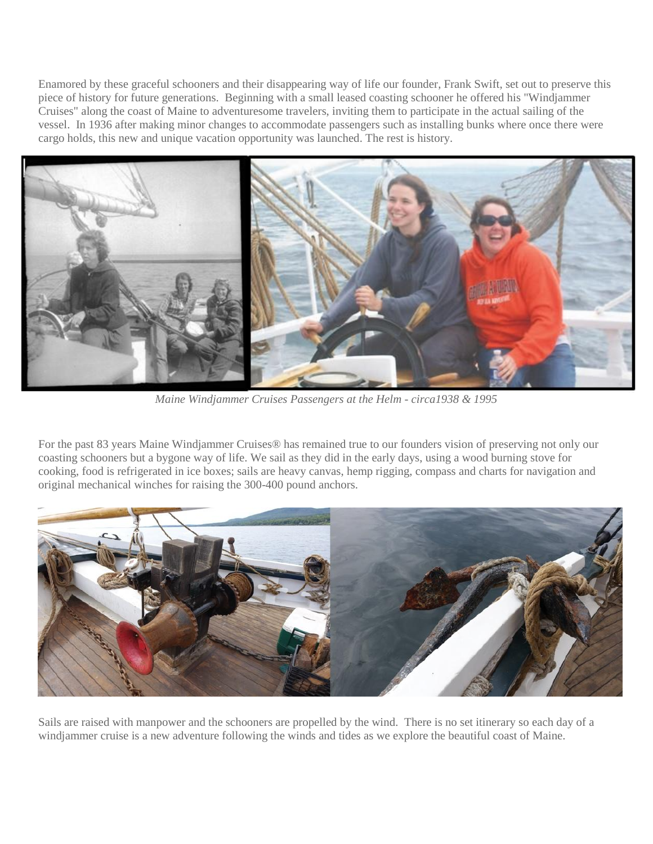Enamored by these graceful schooners and their disappearing way of life our founder, Frank Swift, set out to preserve this piece of history for future generations. Beginning with a small leased coasting schooner he offered his "Windjammer Cruises" along the coast of Maine to adventuresome travelers, inviting them to participate in the actual sailing of the vessel. In 1936 after making minor changes to accommodate passengers such as installing bunks where once there were cargo holds, this new and unique vacation opportunity was launched. The rest is history.



*Maine Windjammer Cruises Passengers at the Helm - circa1938 & 1995*

For the past 83 years Maine Windjammer Cruises® has remained true to our founders vision of preserving not only our coasting schooners but a bygone way of life. We sail as they did in the early days, using a wood burning stove for cooking, food is refrigerated in ice boxes; sails are heavy canvas, hemp rigging, compass and charts for navigation and original mechanical winches for raising the 300-400 pound anchors.



Sails are raised with manpower and the schooners are propelled by the wind. There is no set itinerary so each day of a windjammer cruise is a new adventure following the winds and tides as we explore the beautiful coast of Maine.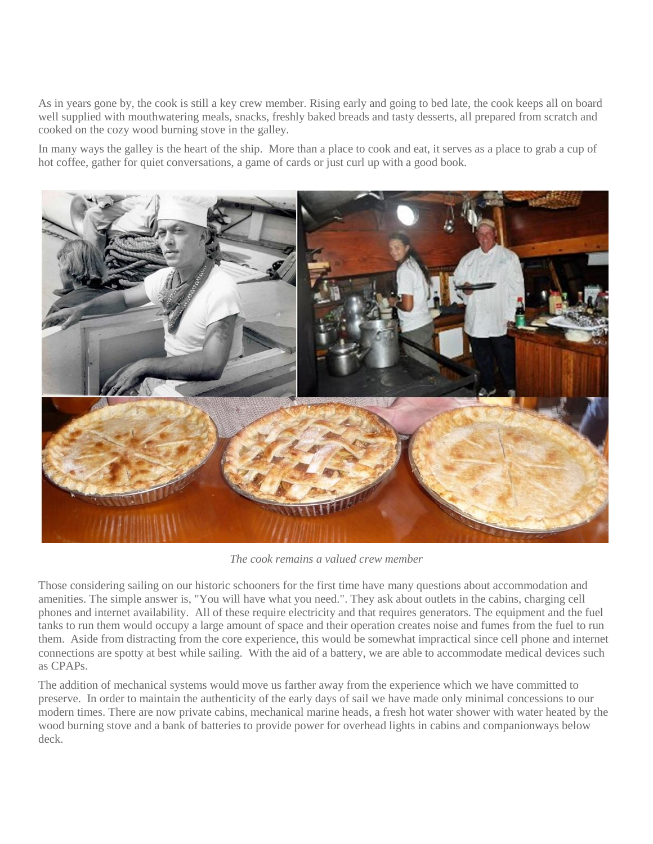As in years gone by, the cook is still a key crew member. Rising early and going to bed late, the cook keeps all on board well supplied with mouthwatering meals, snacks, freshly baked breads and tasty desserts, all prepared from scratch and cooked on the cozy wood burning stove in the galley.

In many ways the galley is the heart of the ship. More than a place to cook and eat, it serves as a place to grab a cup of hot coffee, gather for quiet conversations, a game of cards or just curl up with a good book.



*The cook remains a valued crew member*

Those considering sailing on our historic schooners for the first time have many questions about accommodation and amenities. The simple answer is, "You will have what you need.". They ask about outlets in the cabins, charging cell phones and internet availability. All of these require electricity and that requires generators. The equipment and the fuel tanks to run them would occupy a large amount of space and their operation creates noise and fumes from the fuel to run them. Aside from distracting from the core experience, this would be somewhat impractical since cell phone and internet connections are spotty at best while sailing. With the aid of a battery, we are able to accommodate medical devices such as CPAPs.

The addition of mechanical systems would move us farther away from the experience which we have committed to preserve. In order to maintain the authenticity of the early days of sail we have made only minimal concessions to our modern times. There are now private cabins, mechanical marine heads, a fresh hot water shower with water heated by the wood burning stove and a bank of batteries to provide power for overhead lights in cabins and companionways below deck.